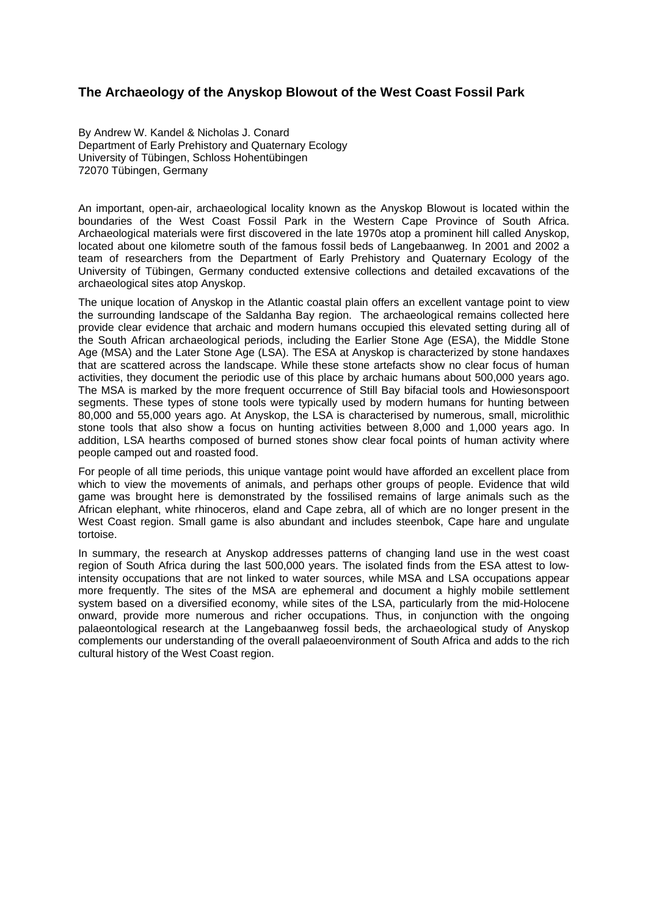## **The Archaeology of the Anyskop Blowout of the West Coast Fossil Park**

By Andrew W. Kandel & Nicholas J. Conard Department of Early Prehistory and Quaternary Ecology University of Tübingen, Schloss Hohentübingen 72070 Tübingen, Germany

An important, open-air, archaeological locality known as the Anyskop Blowout is located within the boundaries of the West Coast Fossil Park in the Western Cape Province of South Africa. Archaeological materials were first discovered in the late 1970s atop a prominent hill called Anyskop, located about one kilometre south of the famous fossil beds of Langebaanweg. In 2001 and 2002 a team of researchers from the Department of Early Prehistory and Quaternary Ecology of the University of Tübingen, Germany conducted extensive collections and detailed excavations of the archaeological sites atop Anyskop.

The unique location of Anyskop in the Atlantic coastal plain offers an excellent vantage point to view the surrounding landscape of the Saldanha Bay region. The archaeological remains collected here provide clear evidence that archaic and modern humans occupied this elevated setting during all of the South African archaeological periods, including the Earlier Stone Age (ESA), the Middle Stone Age (MSA) and the Later Stone Age (LSA). The ESA at Anyskop is characterized by stone handaxes that are scattered across the landscape. While these stone artefacts show no clear focus of human activities, they document the periodic use of this place by archaic humans about 500,000 years ago. The MSA is marked by the more frequent occurrence of Still Bay bifacial tools and Howiesonspoort segments. These types of stone tools were typically used by modern humans for hunting between 80,000 and 55,000 years ago. At Anyskop, the LSA is characterised by numerous, small, microlithic stone tools that also show a focus on hunting activities between 8,000 and 1,000 years ago. In addition, LSA hearths composed of burned stones show clear focal points of human activity where people camped out and roasted food.

For people of all time periods, this unique vantage point would have afforded an excellent place from which to view the movements of animals, and perhaps other groups of people. Evidence that wild game was brought here is demonstrated by the fossilised remains of large animals such as the African elephant, white rhinoceros, eland and Cape zebra, all of which are no longer present in the West Coast region. Small game is also abundant and includes steenbok, Cape hare and ungulate tortoise.

In summary, the research at Anyskop addresses patterns of changing land use in the west coast region of South Africa during the last 500,000 years. The isolated finds from the ESA attest to lowintensity occupations that are not linked to water sources, while MSA and LSA occupations appear more frequently. The sites of the MSA are ephemeral and document a highly mobile settlement system based on a diversified economy, while sites of the LSA, particularly from the mid-Holocene onward, provide more numerous and richer occupations. Thus, in conjunction with the ongoing palaeontological research at the Langebaanweg fossil beds, the archaeological study of Anyskop complements our understanding of the overall palaeoenvironment of South Africa and adds to the rich cultural history of the West Coast region.